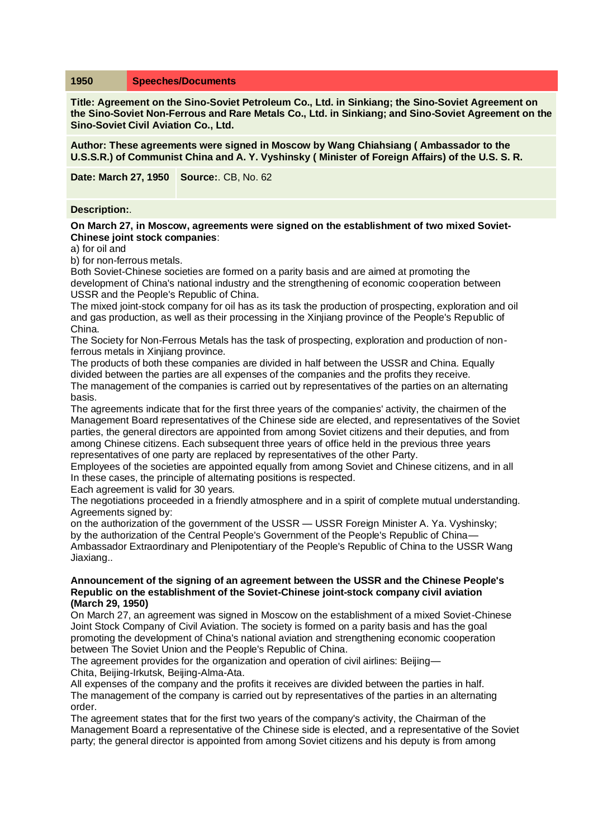# **1950 Speeches/Documents**

**Title: Agreement on the Sino-Soviet Petroleum Co., Ltd. in Sinkiang; the Sino-Soviet Agreement on the Sino-Soviet Non-Ferrous and Rare Metals Co., Ltd. in Sinkiang; and Sino-Soviet Agreement on the Sino-Soviet Civil Aviation Co., Ltd.**

**Author: These agreements were signed in Moscow by Wang Chiahsiang ( Ambassador to the U.S.S.R.) of Communist China and A. Y. Vyshinsky ( Minister of Foreign Affairs) of the U.S. S. R.**

**Date: March 27, 1950 Source:**. CB, No. 62

#### **Description:**.

## **On March 27, in Moscow, agreements were signed on the establishment of two mixed Soviet-Chinese joint stock companies**:

a) for oil and

b) for non-ferrous metals.

Both Soviet-Chinese societies are formed on a parity basis and are aimed at promoting the development of China's national industry and the strengthening of economic cooperation between USSR and the People's Republic of China.

The mixed joint-stock company for oil has as its task the production of prospecting, exploration and oil and gas production, as well as their processing in the Xinjiang province of the People's Republic of China.

The Society for Non-Ferrous Metals has the task of prospecting, exploration and production of nonferrous metals in Xinjiang province.

The products of both these companies are divided in half between the USSR and China. Equally divided between the parties are all expenses of the companies and the profits they receive. The management of the companies is carried out by representatives of the parties on an alternating basis.

The agreements indicate that for the first three years of the companies' activity, the chairmen of the Management Board representatives of the Chinese side are elected, and representatives of the Soviet parties, the general directors are appointed from among Soviet citizens and their deputies, and from among Chinese citizens. Each subsequent three years of office held in the previous three years representatives of one party are replaced by representatives of the other Party.

Employees of the societies are appointed equally from among Soviet and Chinese citizens, and in all In these cases, the principle of alternating positions is respected.

Each agreement is valid for 30 years.

The negotiations proceeded in a friendly atmosphere and in a spirit of complete mutual understanding. Agreements signed by:

on the authorization of the government of the USSR — USSR Foreign Minister A. Ya. Vyshinsky; by the authorization of the Central People's Government of the People's Republic of China— Ambassador Extraordinary and Plenipotentiary of the People's Republic of China to the USSR Wang Jiaxiang..

#### **Announcement of the signing of an agreement between the USSR and the Chinese People's Republic on the establishment of the Soviet-Chinese joint-stock company civil aviation (March 29, 1950)**

On March 27, an agreement was signed in Moscow on the establishment of a mixed Soviet-Chinese Joint Stock Company of Civil Aviation. The society is formed on a parity basis and has the goal promoting the development of China's national aviation and strengthening economic cooperation between The Soviet Union and the People's Republic of China.

The agreement provides for the organization and operation of civil airlines: Beijing— Chita, Beijing-Irkutsk, Beijing-Alma-Ata.

All expenses of the company and the profits it receives are divided between the parties in half. The management of the company is carried out by representatives of the parties in an alternating order.

The agreement states that for the first two years of the company's activity, the Chairman of the Management Board a representative of the Chinese side is elected, and a representative of the Soviet party; the general director is appointed from among Soviet citizens and his deputy is from among